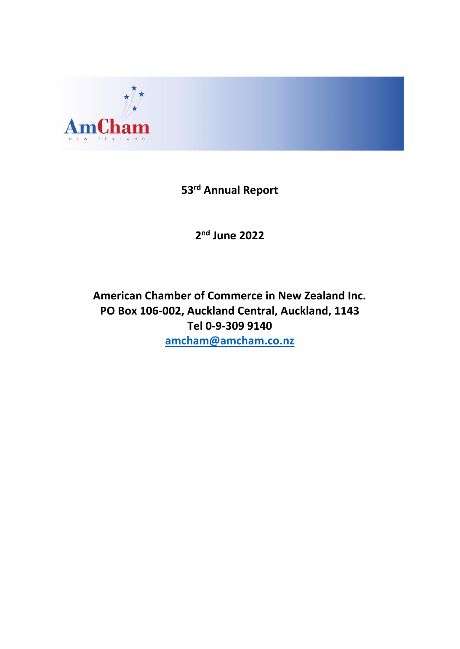

# **53 rd Annual Report**

**2 nd June 2022**

# **American Chamber of Commerce in New Zealand Inc. PO Box 106-002, Auckland Central, Auckland, 1143 Tel 0-9-309 9140 [amcham@amcham.co.nz](mailto:amcham@amcham.co.nz)**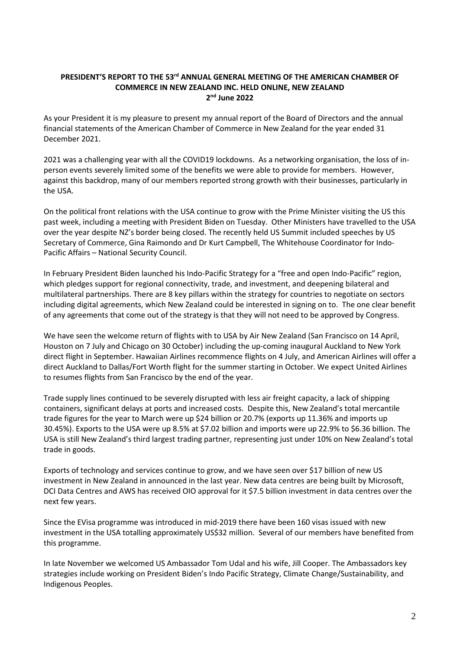# **PRESIDENT'S REPORT TO THE 53 rd ANNUAL GENERAL MEETING OF THE AMERICAN CHAMBER OF COMMERCE IN NEW ZEALAND INC. HELD ONLINE, NEW ZEALAND 2 nd June 2022**

As your President it is my pleasure to present my annual report of the Board of Directors and the annual financial statements of the American Chamber of Commerce in New Zealand for the year ended 31 December 2021.

2021 was a challenging year with all the COVID19 lockdowns. As a networking organisation, the loss of inperson events severely limited some of the benefits we were able to provide for members. However, against this backdrop, many of our members reported strong growth with their businesses, particularly in the USA.

On the political front relations with the USA continue to grow with the Prime Minister visiting the US this past week, including a meeting with President Biden on Tuesday. Other Ministers have travelled to the USA over the year despite NZ's border being closed. The recently held US Summit included speeches by US Secretary of Commerce, Gina Raimondo and Dr Kurt Campbell, The Whitehouse Coordinator for Indo-Pacific Affairs – National Security Council.

In February President Biden launched his Indo-Pacific Strategy for a "free and open Indo-Pacific" region, which pledges support for regional connectivity, trade, and investment, and deepening bilateral and multilateral partnerships. There are 8 key pillars within the strategy for countries to negotiate on sectors including digital agreements, which New Zealand could be interested in signing on to. The one clear benefit of any agreements that come out of the strategy is that they will not need to be approved by Congress.

We have seen the welcome return of flights with to USA by Air New Zealand (San Francisco on 14 April, Houston on 7 July and Chicago on 30 October) including the up-coming inaugural Auckland to New York direct flight in September. Hawaiian Airlines recommence flights on 4 July, and American Airlines will offer a direct Auckland to Dallas/Fort Worth flight for the summer starting in October. We expect United Airlines to resumes flights from San Francisco by the end of the year.

Trade supply lines continued to be severely disrupted with less air freight capacity, a lack of shipping containers, significant delays at ports and increased costs. Despite this, New Zealand's total mercantile trade figures for the year to March were up \$24 billion or 20.7% (exports up 11.36% and imports up 30.45%). Exports to the USA were up 8.5% at \$7.02 billion and imports were up 22.9% to \$6.36 billion. The USA is still New Zealand's third largest trading partner, representing just under 10% on New Zealand's total trade in goods.

Exports of technology and services continue to grow, and we have seen over \$17 billion of new US investment in New Zealand in announced in the last year. New data centres are being built by Microsoft, DCI Data Centres and AWS has received OIO approval for it \$7.5 billion investment in data centres over the next few years.

Since the EVisa programme was introduced in mid-2019 there have been 160 visas issued with new investment in the USA totalling approximately US\$32 million. Several of our members have benefited from this programme.

In late November we welcomed US Ambassador Tom Udal and his wife, Jill Cooper. The Ambassadors key strategies include working on President Biden's Indo Pacific Strategy, Climate Change/Sustainability, and Indigenous Peoples.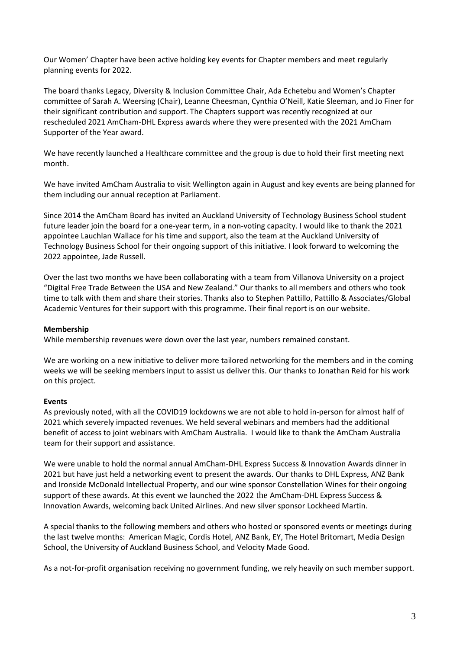Our Women' Chapter have been active holding key events for Chapter members and meet regularly planning events for 2022.

The board thanks Legacy, Diversity & Inclusion Committee Chair, Ada Echetebu and Women's Chapter committee of Sarah A. Weersing (Chair), Leanne Cheesman, Cynthia O'Neill, Katie Sleeman, and Jo Finer for their significant contribution and support. The Chapters support was recently recognized at our rescheduled 2021 AmCham-DHL Express awards where they were presented with the 2021 AmCham Supporter of the Year award.

We have recently launched a Healthcare committee and the group is due to hold their first meeting next month.

We have invited AmCham Australia to visit Wellington again in August and key events are being planned for them including our annual reception at Parliament.

Since 2014 the AmCham Board has invited an Auckland University of Technology Business School student future leader join the board for a one-year term, in a non-voting capacity. I would like to thank the 2021 appointee Lauchlan Wallace for his time and support, also the team at the Auckland University of Technology Business School for their ongoing support of this initiative. I look forward to welcoming the 2022 appointee, Jade Russell.

Over the last two months we have been collaborating with a team from Villanova University on a project "Digital Free Trade Between the USA and New Zealand." Our thanks to all members and others who took time to talk with them and share their stories. Thanks also to Stephen Pattillo, Pattillo & Associates/Global Academic Ventures for their support with this programme. Their final report is on our website.

## **Membership**

While membership revenues were down over the last year, numbers remained constant.

We are working on a new initiative to deliver more tailored networking for the members and in the coming weeks we will be seeking members input to assist us deliver this. Our thanks to Jonathan Reid for his work on this project.

## **Events**

As previously noted, with all the COVID19 lockdowns we are not able to hold in-person for almost half of 2021 which severely impacted revenues. We held several webinars and members had the additional benefit of access to joint webinars with AmCham Australia. I would like to thank the AmCham Australia team for their support and assistance.

We were unable to hold the normal annual AmCham-DHL Express Success & Innovation Awards dinner in 2021 but have just held a networking event to present the awards. Our thanks to DHL Express, ANZ Bank and Ironside McDonald Intellectual Property, and our wine sponsor Constellation Wines for their ongoing support of these awards. At this event we launched the 2022 the AmCham-DHL Express Success & Innovation Awards, welcoming back United Airlines. And new silver sponsor Lockheed Martin.

A special thanks to the following members and others who hosted or sponsored events or meetings during the last twelve months: American Magic, Cordis Hotel, ANZ Bank, EY, The Hotel Britomart, Media Design School, the University of Auckland Business School, and Velocity Made Good.

As a not-for-profit organisation receiving no government funding, we rely heavily on such member support.